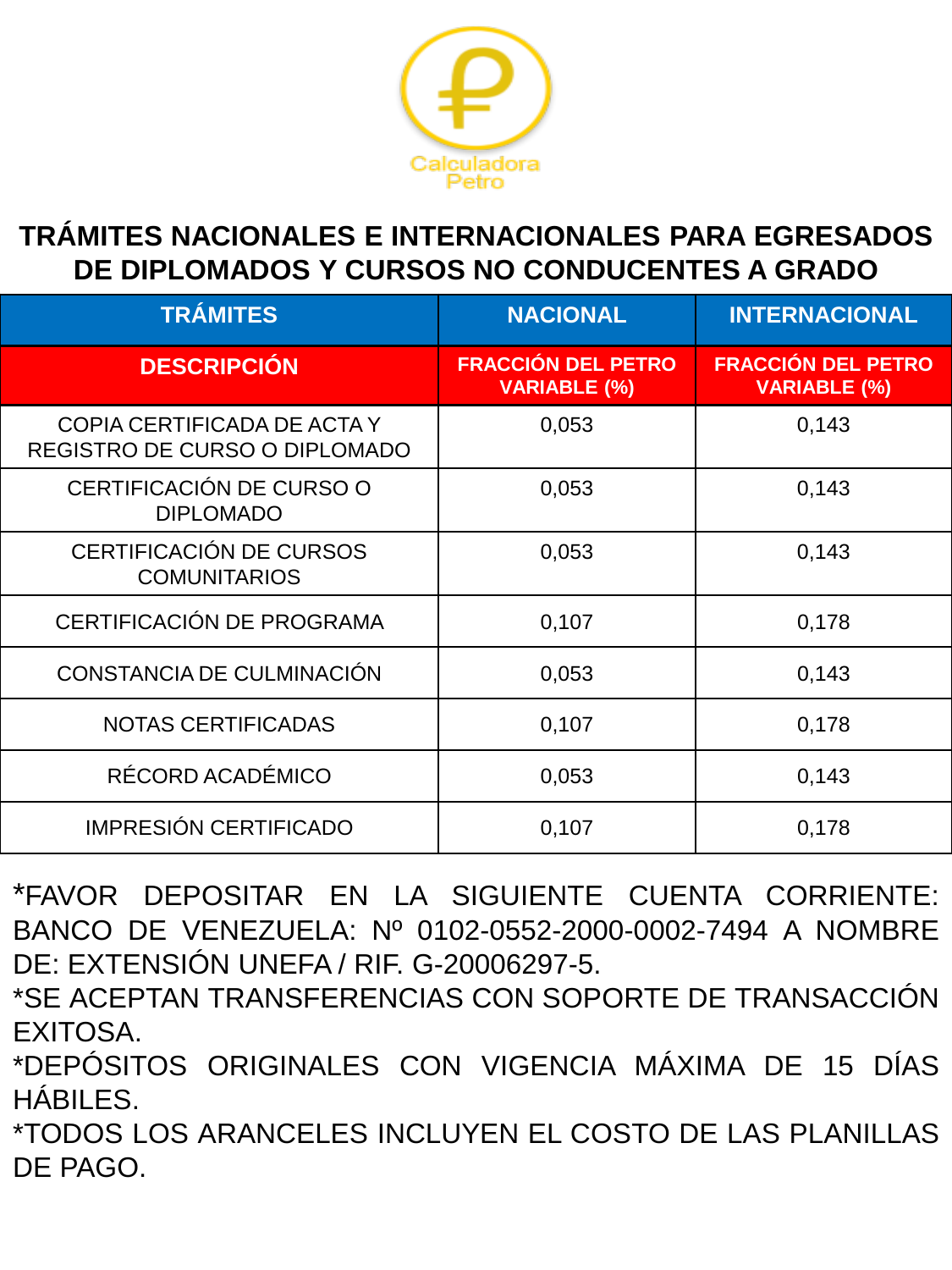

### **TRÁMITES NACIONALES E INTERNACIONALES PARA EGRESADOS DE DIPLOMADOS Y CURSOS NO CONDUCENTES A GRADO**

| <b>TRÁMITES</b>                                              | <b>NACIONAL</b>                                  | <b>INTERNACIONAL</b>                             |
|--------------------------------------------------------------|--------------------------------------------------|--------------------------------------------------|
| <b>DESCRIPCIÓN</b>                                           | <b>FRACCIÓN DEL PETRO</b><br><b>VARIABLE (%)</b> | <b>FRACCIÓN DEL PETRO</b><br><b>VARIABLE (%)</b> |
| COPIA CERTIFICADA DE ACTA Y<br>REGISTRO DE CURSO O DIPLOMADO | 0,053                                            | 0,143                                            |
| CERTIFICACIÓN DE CURSO O<br><b>DIPLOMADO</b>                 | 0,053                                            | 0,143                                            |
| CERTIFICACIÓN DE CURSOS<br><b>COMUNITARIOS</b>               | 0,053                                            | 0,143                                            |
| CERTIFICACIÓN DE PROGRAMA                                    | 0,107                                            | 0,178                                            |
| CONSTANCIA DE CULMINACIÓN                                    | 0,053                                            | 0,143                                            |
| <b>NOTAS CERTIFICADAS</b>                                    | 0,107                                            | 0,178                                            |
| RÉCORD ACADÉMICO                                             | 0,053                                            | 0,143                                            |
| <b>IMPRESIÓN CERTIFICADO</b>                                 | 0,107                                            | 0,178                                            |

- \*FAVOR DEPOSITAR EN LA SIGUIENTE CUENTA CORRIENTE: BANCO DE VENEZUELA: Nº 0102-0552-2000-0002-7494 A NOMBRE DE: EXTENSIÓN UNEFA / RIF. G-20006297-5.
- \*SE ACEPTAN TRANSFERENCIAS CON SOPORTE DE TRANSACCIÓN EXITOSA.
- \*DEPÓSITOS ORIGINALES CON VIGENCIA MÁXIMA DE 15 DÍAS HÁBILES.
- \*TODOS LOS ARANCELES INCLUYEN EL COSTO DE LAS PLANILLAS DE PAGO.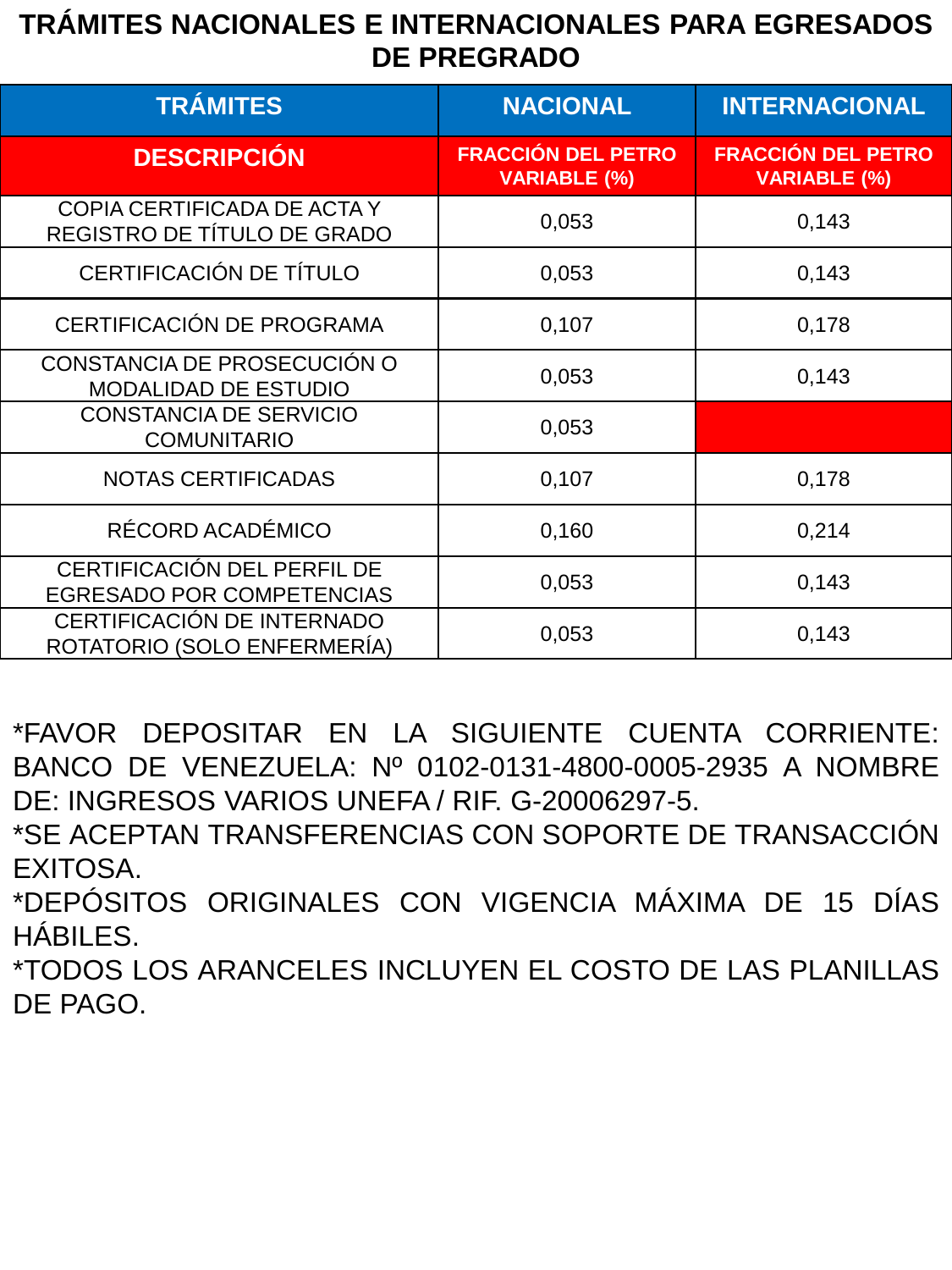### **TRÁMITES NACIONALES E INTERNACIONALES PARA EGRESADOS DE PREGRADO**

| <b>TRÁMITES</b>                                            | <b>NACIONAL</b>                                  | <b>INTERNACIONAL</b>                             |
|------------------------------------------------------------|--------------------------------------------------|--------------------------------------------------|
| <b>DESCRIPCIÓN</b>                                         | <b>FRACCIÓN DEL PETRO</b><br><b>VARIABLE (%)</b> | <b>FRACCIÓN DEL PETRO</b><br><b>VARIABLE (%)</b> |
| COPIA CERTIFICADA DE ACTA Y<br>REGISTRO DE TÍTULO DE GRADO | 0,053                                            | 0,143                                            |
| CERTIFICACIÓN DE TÍTULO                                    | 0,053                                            | 0,143                                            |
| CERTIFICACIÓN DE PROGRAMA                                  | 0,107                                            | 0,178                                            |
| CONSTANCIA DE PROSECUCIÓN O<br><b>MODALIDAD DE ESTUDIO</b> | 0,053                                            | 0,143                                            |
| <b>CONSTANCIA DE SERVICIO</b><br><b>COMUNITARIO</b>        | 0,053                                            |                                                  |
| <b>NOTAS CERTIFICADAS</b>                                  | 0,107                                            | 0,178                                            |
| RÉCORD ACADÉMICO                                           | 0,160                                            | 0,214                                            |
| CERTIFICACIÓN DEL PERFIL DE<br>EGRESADO POR COMPETENCIAS   | 0,053                                            | 0,143                                            |
| CERTIFICACIÓN DE INTERNADO<br>ROTATORIO (SOLO ENFERMERÍA)  | 0,053                                            | 0,143                                            |

\*FAVOR DEPOSITAR EN LA SIGUIENTE CUENTA CORRIENTE: BANCO DE VENEZUELA: Nº 0102-0131-4800-0005-2935 A NOMBRE DE: INGRESOS VARIOS UNEFA / RIF. G-20006297-5.

\*SE ACEPTAN TRANSFERENCIAS CON SOPORTE DE TRANSACCIÓN EXITOSA.

\*DEPÓSITOS ORIGINALES CON VIGENCIA MÁXIMA DE 15 DÍAS HÁBILES.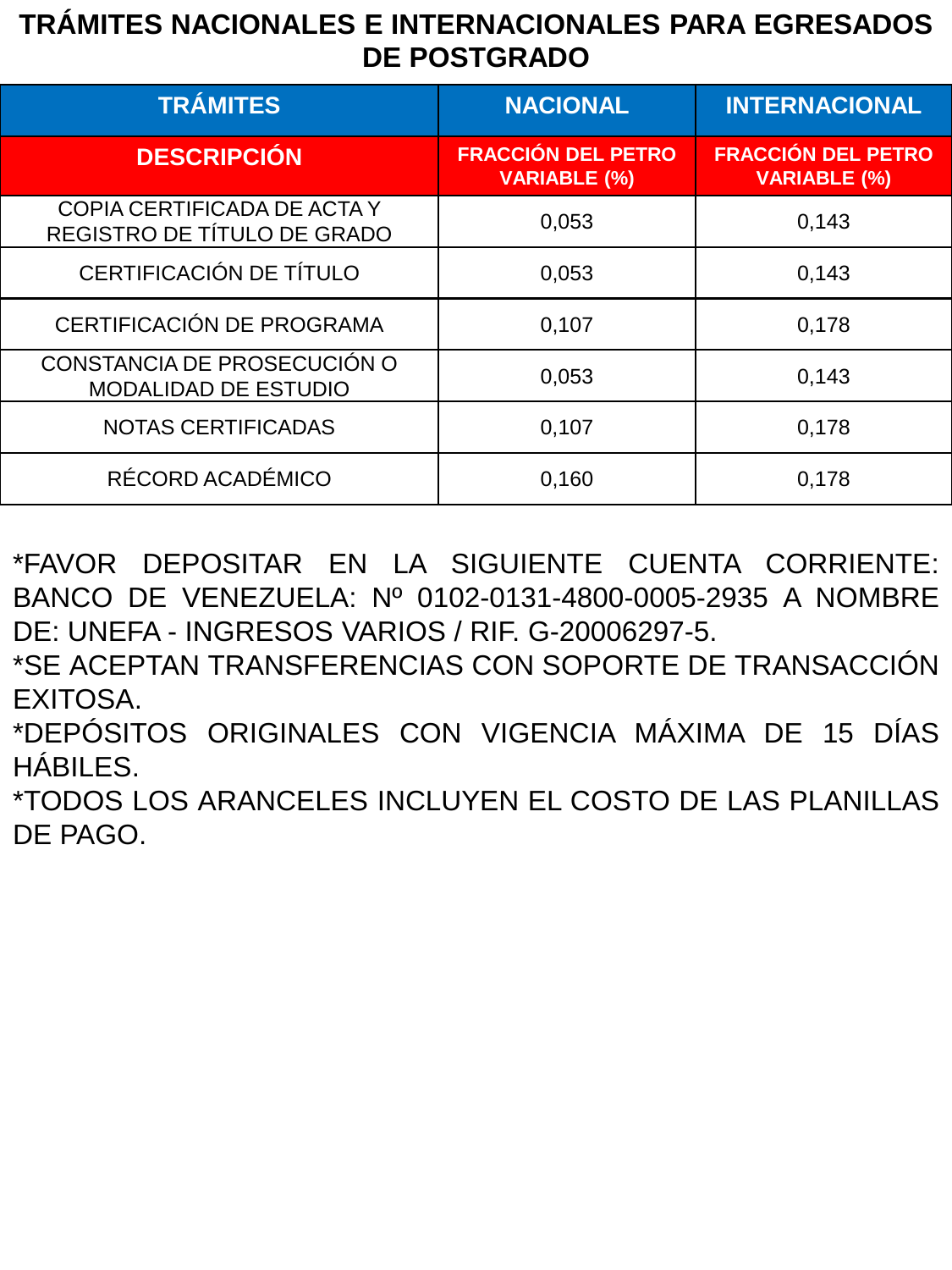### **TRÁMITES NACIONALES E INTERNACIONALES PARA EGRESADOS DE POSTGRADO**

| <b>TRÁMITES</b>                                            | <b>NACIONAL</b>                                  | <b>INTERNACIONAL</b>                             |
|------------------------------------------------------------|--------------------------------------------------|--------------------------------------------------|
| <b>DESCRIPCIÓN</b>                                         | <b>FRACCIÓN DEL PETRO</b><br><b>VARIABLE (%)</b> | <b>FRACCIÓN DEL PETRO</b><br><b>VARIABLE (%)</b> |
| COPIA CERTIFICADA DE ACTA Y<br>REGISTRO DE TÍTULO DE GRADO | 0,053                                            | 0,143                                            |
| CERTIFICACIÓN DE TÍTULO                                    | 0,053                                            | 0,143                                            |
| CERTIFICACIÓN DE PROGRAMA                                  | 0,107                                            | 0,178                                            |
| CONSTANCIA DE PROSECUCIÓN O<br><b>MODALIDAD DE ESTUDIO</b> | 0,053                                            | 0,143                                            |
| <b>NOTAS CERTIFICADAS</b>                                  | 0,107                                            | 0,178                                            |
| RÉCORD ACADÉMICO                                           | 0,160                                            | 0,178                                            |

\*FAVOR DEPOSITAR EN LA SIGUIENTE CUENTA CORRIENTE: BANCO DE VENEZUELA: Nº 0102-0131-4800-0005-2935 A NOMBRE DE: UNEFA - INGRESOS VARIOS / RIF. G-20006297-5.

\*SE ACEPTAN TRANSFERENCIAS CON SOPORTE DE TRANSACCIÓN EXITOSA.

\*DEPÓSITOS ORIGINALES CON VIGENCIA MÁXIMA DE 15 DÍAS HÁBILES.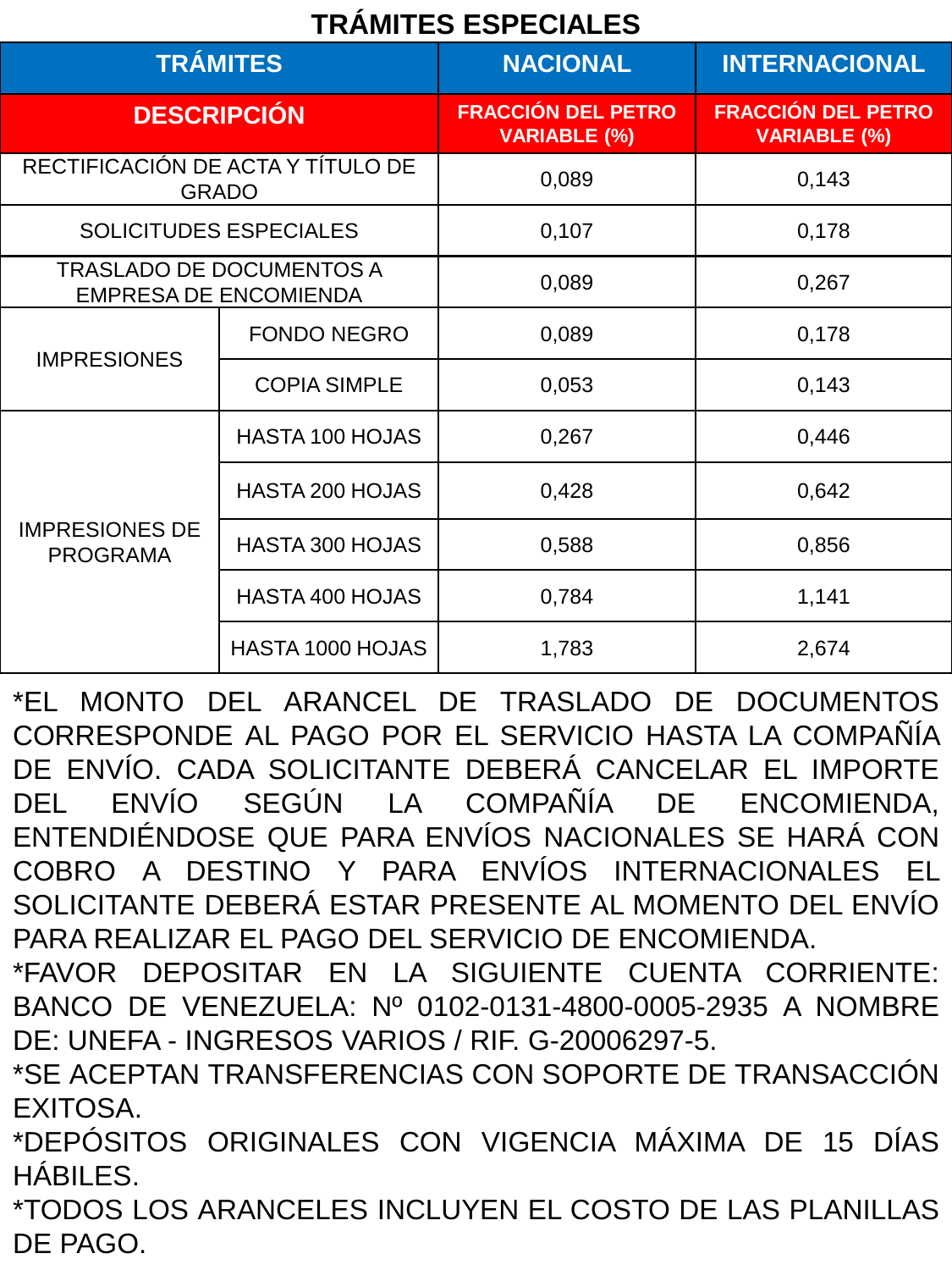# **TRÁMITES ESPECIALES**

| <b>TRÁMITES</b>                          |                                                                 | <b>NACIONAL</b>                                  | <b>INTERNACIONAL</b>                             |
|------------------------------------------|-----------------------------------------------------------------|--------------------------------------------------|--------------------------------------------------|
|                                          | <b>DESCRIPCIÓN</b>                                              | <b>FRACCIÓN DEL PETRO</b><br><b>VARIABLE (%)</b> | <b>FRACCIÓN DEL PETRO</b><br><b>VARIABLE (%)</b> |
|                                          | RECTIFICACIÓN DE ACTA Y TÍTULO DE<br><b>GRADO</b>               | 0,089                                            | 0,143                                            |
|                                          | <b>SOLICITUDES ESPECIALES</b>                                   | 0,107                                            | 0,178                                            |
|                                          | <b>TRASLADO DE DOCUMENTOS A</b><br><b>EMPRESA DE ENCOMIENDA</b> | 0,089                                            | 0,267                                            |
| <b>IMPRESIONES</b>                       | <b>FONDO NEGRO</b>                                              | 0,089                                            | 0,178                                            |
|                                          | <b>COPIA SIMPLE</b>                                             | 0,053                                            | 0,143                                            |
|                                          | HASTA 100 HOJAS                                                 | 0,267                                            | 0,446                                            |
| <b>IMPRESIONES DE</b><br><b>PROGRAMA</b> | <b>HASTA 200 HOJAS</b>                                          | 0,428                                            | 0,642                                            |
|                                          | HASTA 300 HOJAS                                                 | 0,588                                            | 0,856                                            |
|                                          | HASTA 400 HOJAS                                                 | 0,784                                            | 1,141                                            |
|                                          | HASTA 1000 HOJAS                                                | 1,783                                            | 2,674                                            |

\*EL MONTO DEL ARANCEL DE TRASLADO DE DOCUMENTOS CORRESPONDE AL PAGO POR EL SERVICIO HASTA LA COMPAÑÍA DE ENVÍO. CADA SOLICITANTE DEBERÁ CANCELAR EL IMPORTE DEL ENVÍO SEGÚN LA COMPAÑÍA DE ENCOMIENDA, ENTENDIÉNDOSE QUE PARA ENVÍOS NACIONALES SE HARÁ CON COBRO A DESTINO Y PARA ENVÍOS INTERNACIONALES EL SOLICITANTE DEBERÁ ESTAR PRESENTE AL MOMENTO DEL ENVÍO PARA REALIZAR EL PAGO DEL SERVICIO DE ENCOMIENDA.

\*FAVOR DEPOSITAR EN LA SIGUIENTE CUENTA CORRIENTE: BANCO DE VENEZUELA: Nº 0102-0131-4800-0005-2935 A NOMBRE DE: UNEFA - INGRESOS VARIOS / RIF. G-20006297-5.

\*SE ACEPTAN TRANSFERENCIAS CON SOPORTE DE TRANSACCIÓN EXITOSA.

\*DEPÓSITOS ORIGINALES CON VIGENCIA MÁXIMA DE 15 DÍAS HÁBILES.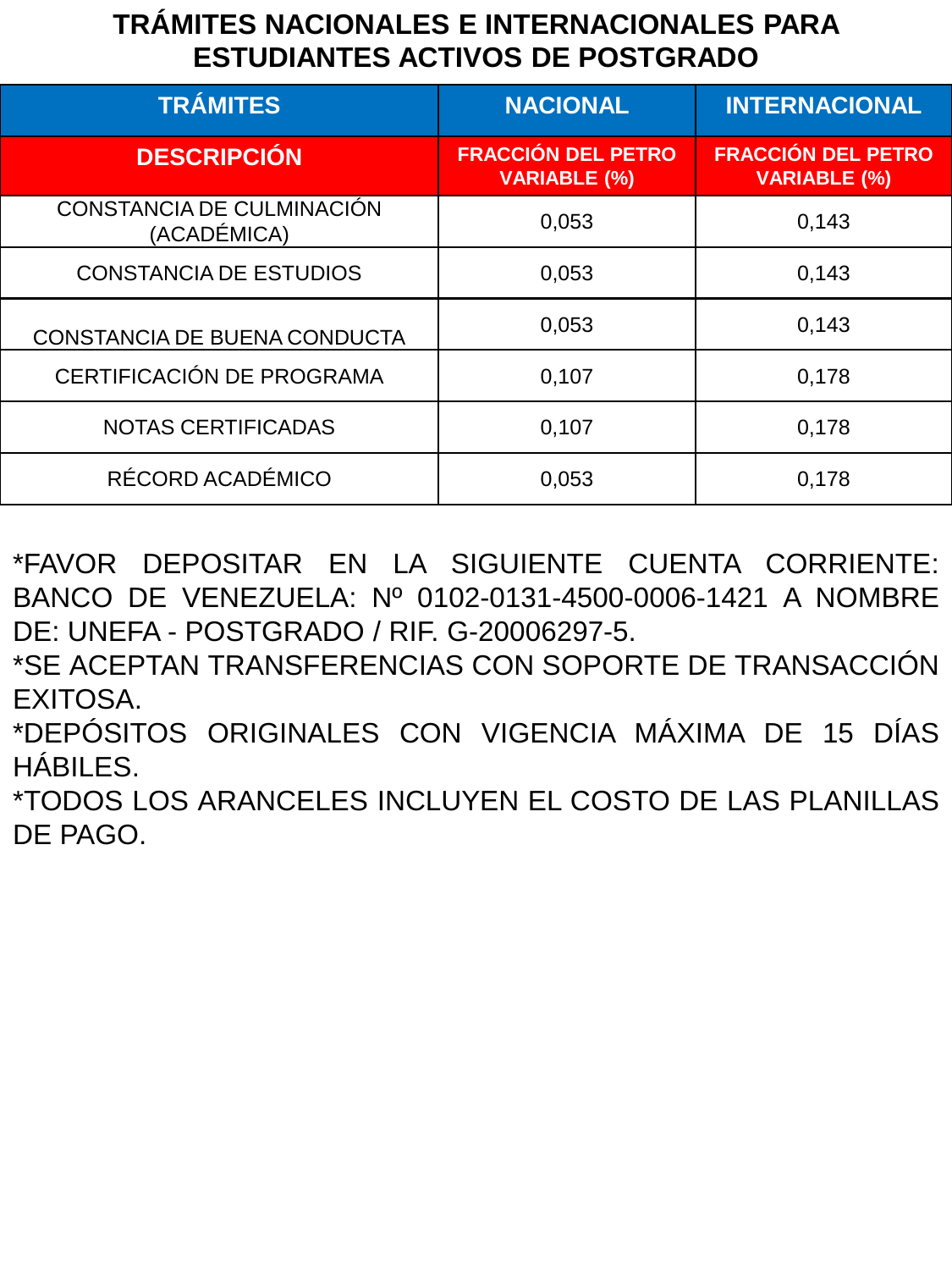# **TRÁMITES NACIONALES E INTERNACIONALES PARA ESTUDIANTES ACTIVOS DE POSTGRADO**

| <b>TRÁMITES</b>                          | <b>NACIONAL</b>                                  | <b>INTERNACIONAL</b>                             |
|------------------------------------------|--------------------------------------------------|--------------------------------------------------|
| <b>DESCRIPCIÓN</b>                       | <b>FRACCIÓN DEL PETRO</b><br><b>VARIABLE (%)</b> | <b>FRACCIÓN DEL PETRO</b><br><b>VARIABLE (%)</b> |
| CONSTANCIA DE CULMINACIÓN<br>(ACADÉMICA) | 0,053                                            | 0,143                                            |
| <b>CONSTANCIA DE ESTUDIOS</b>            | 0,053                                            | 0,143                                            |
| CONSTANCIA DE BUENA CONDUCTA             | 0,053                                            | 0,143                                            |
| CERTIFICACIÓN DE PROGRAMA                | 0,107                                            | 0,178                                            |
| <b>NOTAS CERTIFICADAS</b>                | 0,107                                            | 0,178                                            |
| RÉCORD ACADÉMICO                         | 0,053                                            | 0,178                                            |

\*FAVOR DEPOSITAR EN LA SIGUIENTE CUENTA CORRIENTE: BANCO DE VENEZUELA: Nº 0102-0131-4500-0006-1421 A NOMBRE DE: UNEFA - POSTGRADO / RIF. G-20006297-5.

\*SE ACEPTAN TRANSFERENCIAS CON SOPORTE DE TRANSACCIÓN EXITOSA.

\*DEPÓSITOS ORIGINALES CON VIGENCIA MÁXIMA DE 15 DÍAS HÁBILES.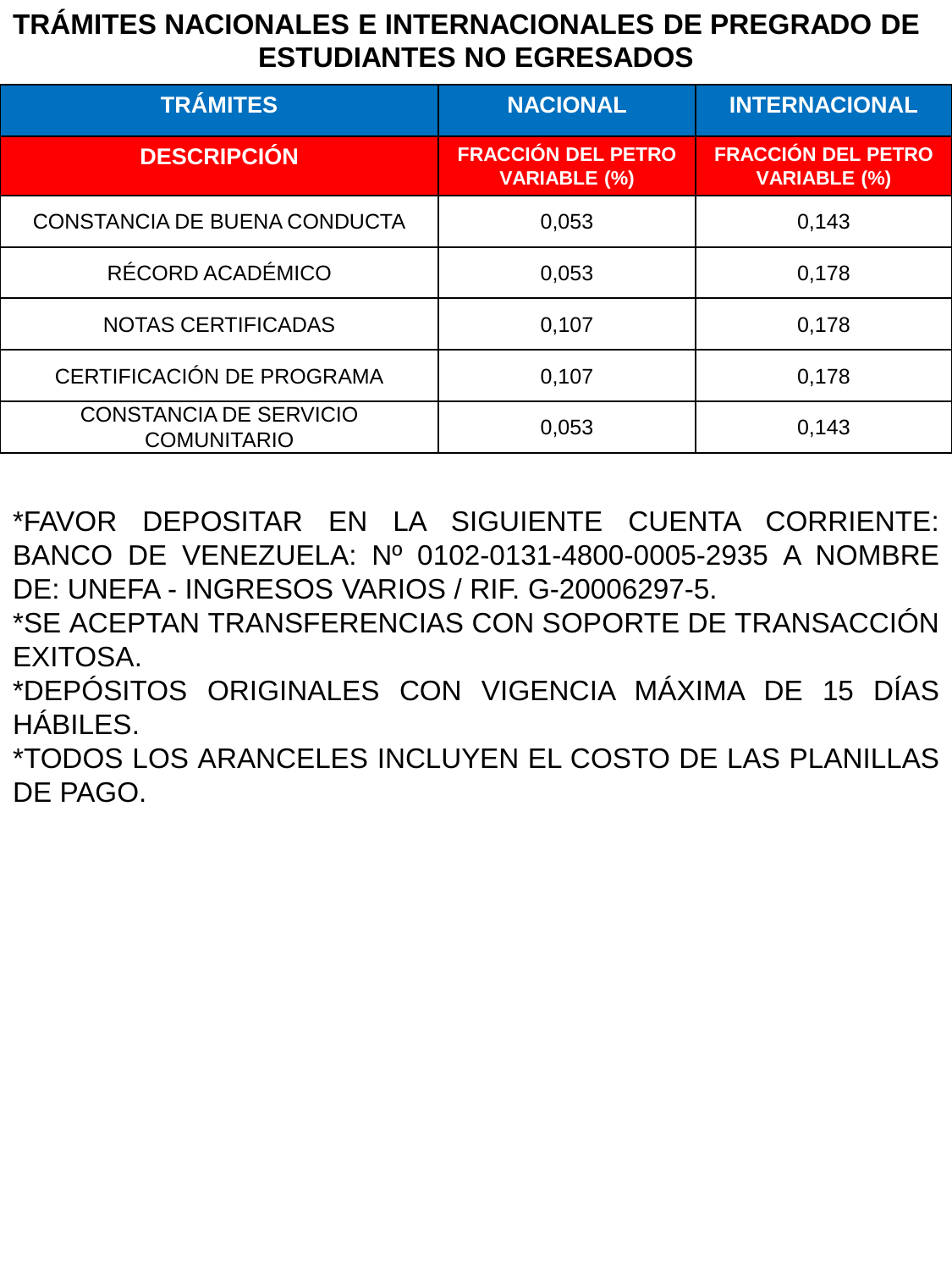### **TRÁMITES NACIONALES E INTERNACIONALES DE PREGRADO DE ESTUDIANTES NO EGRESADOS**

| <b>TRÁMITES</b>                                     | <b>NACIONAL</b>                                  | <b>INTERNACIONAL</b>                             |
|-----------------------------------------------------|--------------------------------------------------|--------------------------------------------------|
| <b>DESCRIPCIÓN</b>                                  | <b>FRACCIÓN DEL PETRO</b><br><b>VARIABLE (%)</b> | <b>FRACCIÓN DEL PETRO</b><br><b>VARIABLE (%)</b> |
| CONSTANCIA DE BUENA CONDUCTA                        | 0,053                                            | 0,143                                            |
| RÉCORD ACADÉMICO                                    | 0,053                                            | 0,178                                            |
| <b>NOTAS CERTIFICADAS</b>                           | 0,107                                            | 0.178                                            |
| CERTIFICACIÓN DE PROGRAMA                           | 0,107                                            | 0,178                                            |
| <b>CONSTANCIA DE SERVICIO</b><br><b>COMUNITARIO</b> | 0,053                                            | 0,143                                            |

\*FAVOR DEPOSITAR EN LA SIGUIENTE CUENTA CORRIENTE: BANCO DE VENEZUELA: Nº 0102-0131-4800-0005-2935 A NOMBRE DE: UNEFA - INGRESOS VARIOS / RIF. G-20006297-5.

\*SE ACEPTAN TRANSFERENCIAS CON SOPORTE DE TRANSACCIÓN EXITOSA.

\*DEPÓSITOS ORIGINALES CON VIGENCIA MÁXIMA DE 15 DÍAS HÁBILES.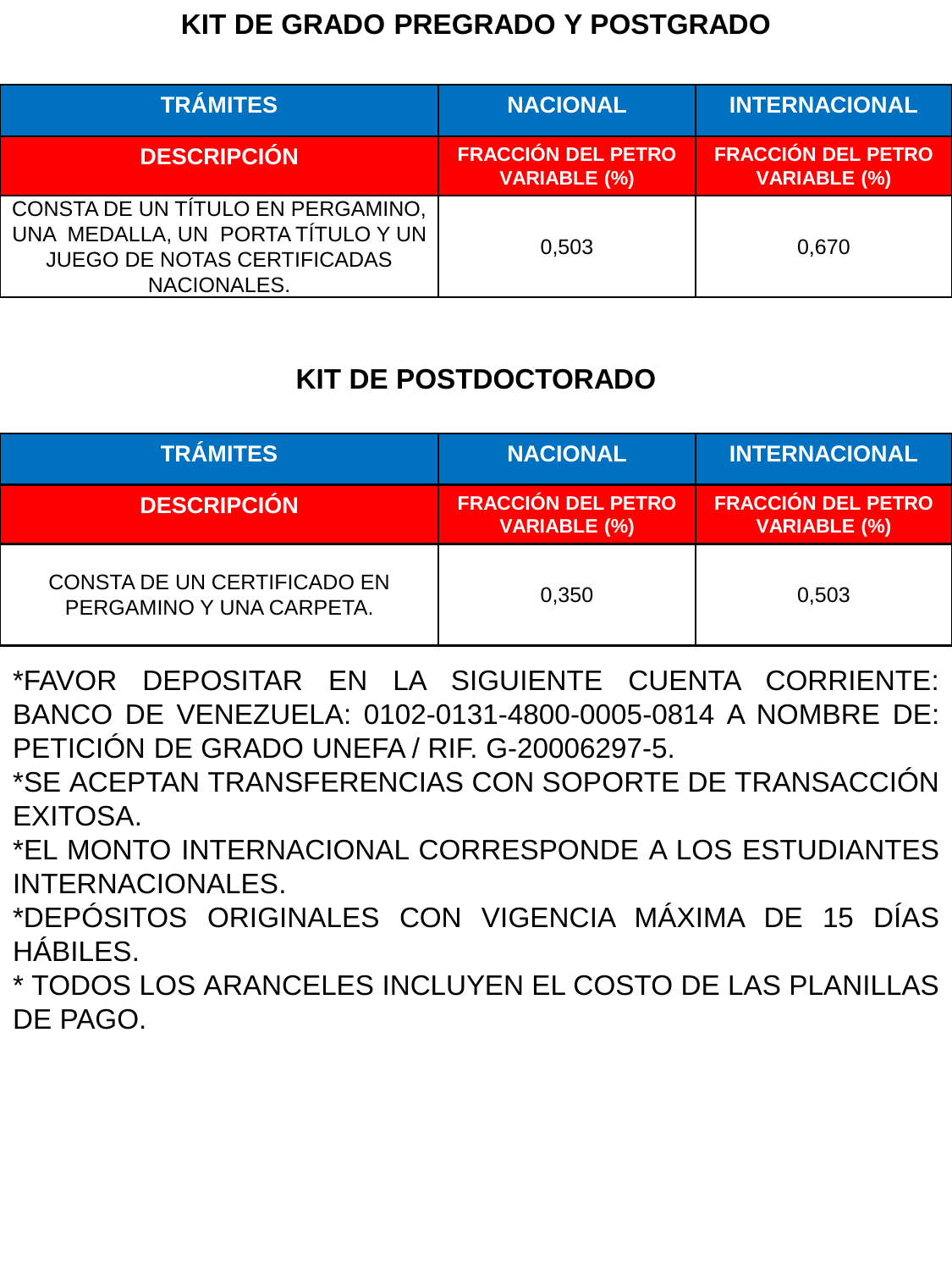#### **KIT DE GRADO PREGRADO Y POSTGRADO**

| <b>TRÁMITES</b>                                                                                                             | <b>NACIONAL</b>                                  | <b>INTERNACIONAL</b>                             |
|-----------------------------------------------------------------------------------------------------------------------------|--------------------------------------------------|--------------------------------------------------|
| <b>DESCRIPCIÓN</b>                                                                                                          | <b>FRACCIÓN DEL PETRO</b><br><b>VARIABLE (%)</b> | <b>FRACCIÓN DEL PETRO</b><br><b>VARIABLE (%)</b> |
| CONSTA DE UN TÍTULO EN PERGAMINO,<br>UNA MEDALLA, UN PORTA TÍTULO Y UN<br><b>JUEGO DE NOTAS CERTIFICADAS</b><br>NACIONALES. | 0,503                                            | 0.670                                            |

# **KIT DE POSTDOCTORADO**

| <b>TRÁMITES</b>                                         | <b>NACIONAL</b>                                  | <b>INTERNACIONAL</b>                             |
|---------------------------------------------------------|--------------------------------------------------|--------------------------------------------------|
| <b>DESCRIPCIÓN</b>                                      | <b>FRACCIÓN DEL PETRO</b><br><b>VARIABLE (%)</b> | <b>FRACCIÓN DEL PETRO</b><br><b>VARIABLE (%)</b> |
| CONSTA DE UN CERTIFICADO EN<br>PERGAMINO Y UNA CARPETA. | 0,350                                            | 0.503                                            |

\*FAVOR DEPOSITAR EN LA SIGUIENTE CUENTA CORRIENTE: BANCO DE VENEZUELA: 0102-0131-4800-0005-0814 A NOMBRE DE: PETICIÓN DE GRADO UNEFA / RIF. G-20006297-5.

\*SE ACEPTAN TRANSFERENCIAS CON SOPORTE DE TRANSACCIÓN EXITOSA.

\*EL MONTO INTERNACIONAL CORRESPONDE A LOS ESTUDIANTES INTERNACIONALES.

\*DEPÓSITOS ORIGINALES CON VIGENCIA MÁXIMA DE 15 DÍAS HÁBILES.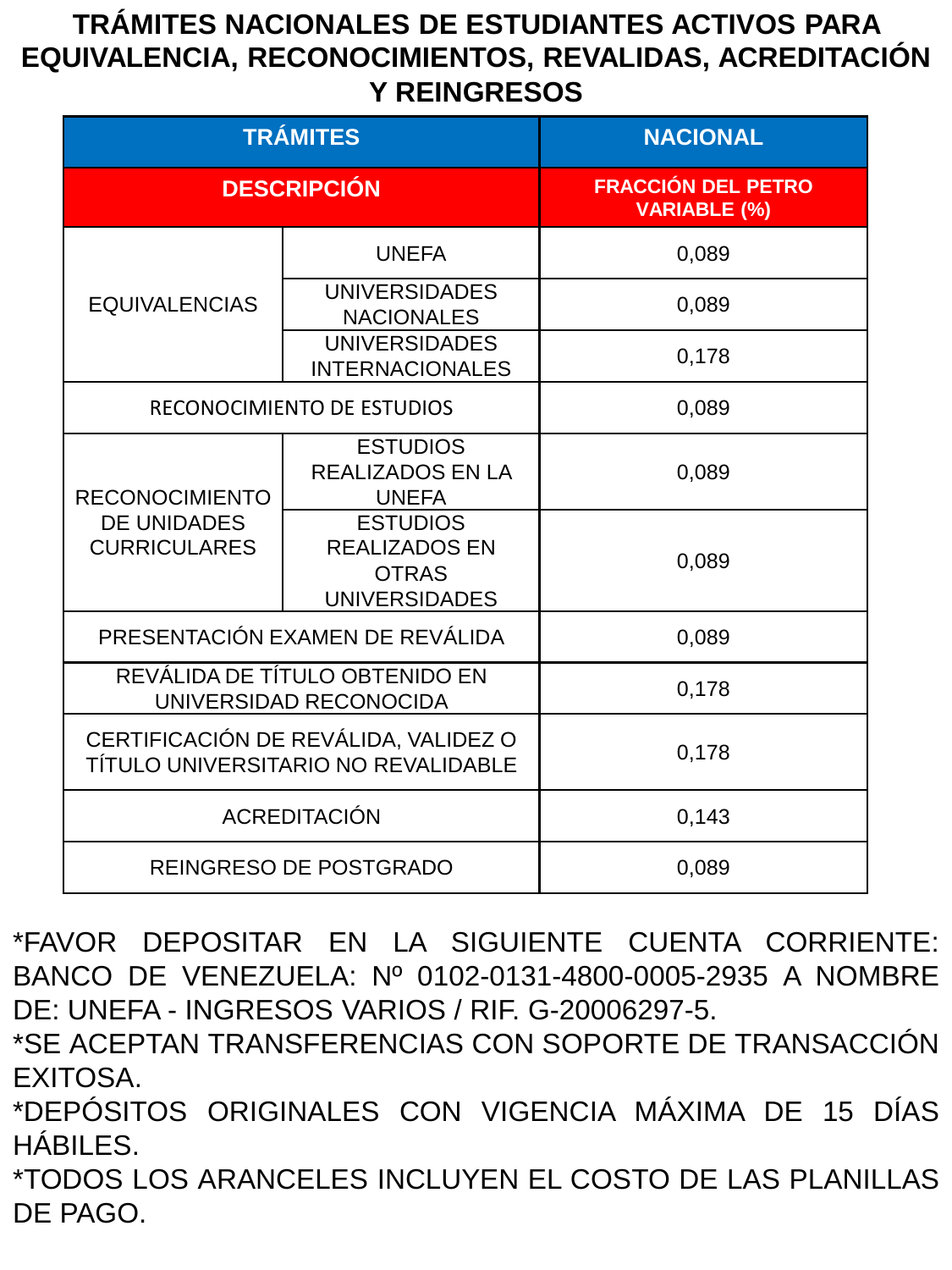# **TRÁMITES NACIONALES DE ESTUDIANTES ACTIVOS PARA EQUIVALENCIA, RECONOCIMIENTOS, REVALIDAS, ACREDITACIÓN Y REINGRESOS**

|                                                                             | <b>TRÁMITES</b>                                                                 | <b>NACIONAL</b>                                  |
|-----------------------------------------------------------------------------|---------------------------------------------------------------------------------|--------------------------------------------------|
|                                                                             | <b>DESCRIPCIÓN</b>                                                              | <b>FRACCIÓN DEL PETRO</b><br><b>VARIABLE (%)</b> |
|                                                                             | <b>UNEFA</b>                                                                    | 0,089                                            |
| <b>EQUIVALENCIAS</b>                                                        | <b>UNIVERSIDADES</b><br><b>NACIONALES</b>                                       | 0,089                                            |
|                                                                             | <b>UNIVERSIDADES</b><br><b>INTERNACIONALES</b>                                  | 0,178                                            |
|                                                                             | RECONOCIMIENTO DE ESTUDIOS                                                      | 0,089                                            |
| <b>RECONOCIMIENTO</b>                                                       | <b>ESTUDIOS</b><br><b>REALIZADOS EN LA</b><br><b>UNEFA</b>                      | 0,089                                            |
| <b>DE UNIDADES</b><br><b>CURRICULARES</b>                                   | <b>ESTUDIOS</b><br><b>REALIZADOS EN</b><br><b>OTRAS</b><br><b>UNIVERSIDADES</b> | 0,089                                            |
|                                                                             | PRESENTACIÓN EXAMEN DE REVÁLIDA                                                 | 0,089                                            |
|                                                                             | REVÁLIDA DE TÍTULO OBTENIDO EN<br>UNIVERSIDAD RECONOCIDA                        | 0,178                                            |
| CERTIFICACIÓN DE REVÁLIDA, VALIDEZ O<br>TÍTULO UNIVERSITARIO NO REVALIDABLE |                                                                                 | 0,178                                            |
| <b>ACREDITACIÓN</b>                                                         |                                                                                 | 0,143                                            |
|                                                                             | <b>REINGRESO DE POSTGRADO</b>                                                   | 0,089                                            |

\*FAVOR DEPOSITAR EN LA SIGUIENTE CUENTA CORRIENTE: BANCO DE VENEZUELA: Nº 0102-0131-4800-0005-2935 A NOMBRE DE: UNEFA - INGRESOS VARIOS / RIF. G-20006297-5.

\*SE ACEPTAN TRANSFERENCIAS CON SOPORTE DE TRANSACCIÓN EXITOSA.

\*DEPÓSITOS ORIGINALES CON VIGENCIA MÁXIMA DE 15 DÍAS HÁBILES.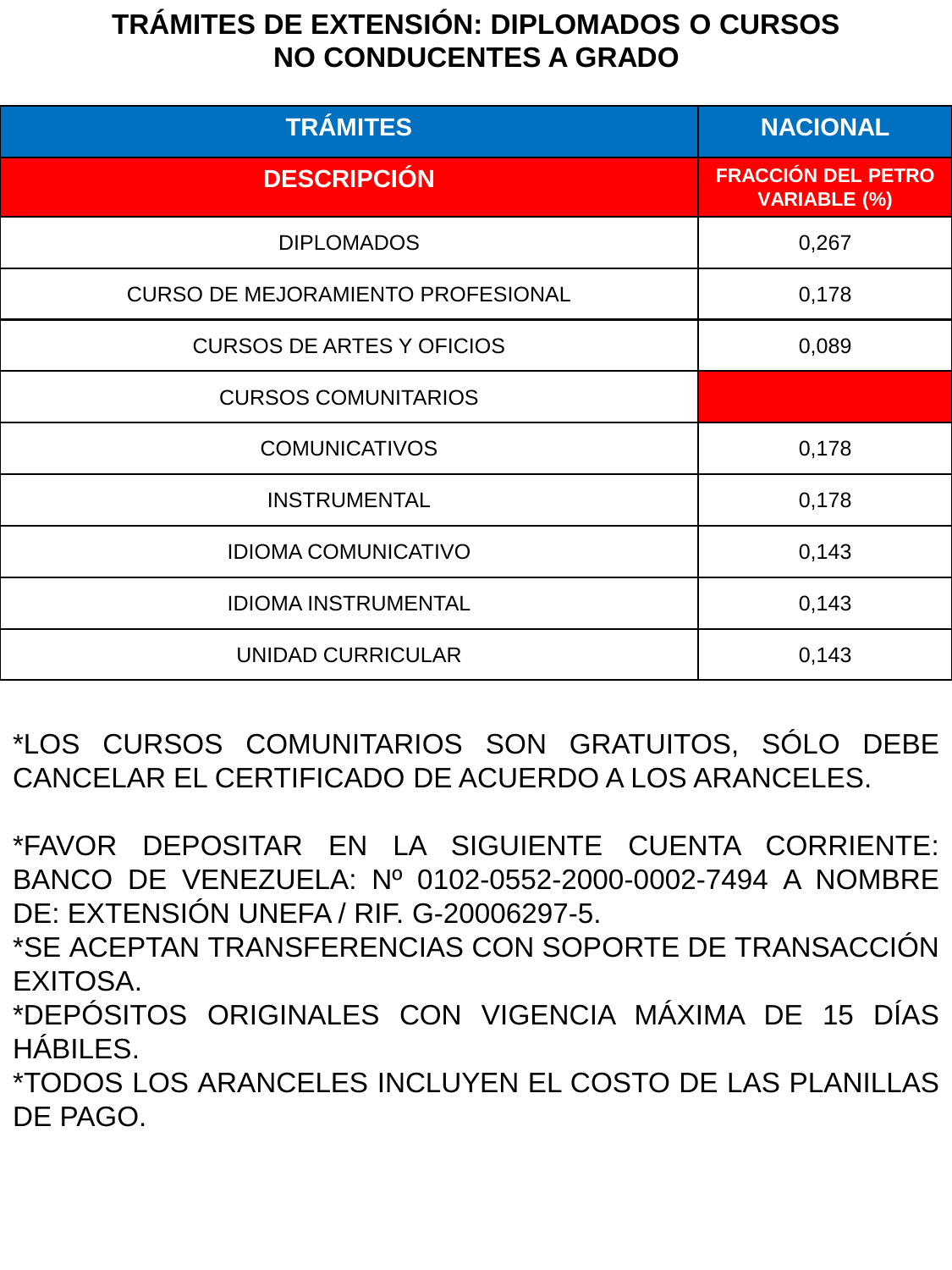# **TRÁMITES DE EXTENSIÓN: DIPLOMADOS O CURSOS NO CONDUCENTES A GRADO**

| <b>TRÁMITES</b>                          | <b>NACIONAL</b>                                  |
|------------------------------------------|--------------------------------------------------|
| <b>DESCRIPCIÓN</b>                       | <b>FRACCIÓN DEL PETRO</b><br><b>VARIABLE (%)</b> |
| <b>DIPLOMADOS</b>                        | 0,267                                            |
| <b>CURSO DE MEJORAMIENTO PROFESIONAL</b> | 0,178                                            |
| <b>CURSOS DE ARTES Y OFICIOS</b>         | 0,089                                            |
| <b>CURSOS COMUNITARIOS</b>               |                                                  |
| <b>COMUNICATIVOS</b>                     | 0,178                                            |
| <b>INSTRUMENTAL</b>                      | 0,178                                            |
| <b>IDIOMA COMUNICATIVO</b>               | 0,143                                            |
| <b>IDIOMA INSTRUMENTAL</b>               | 0,143                                            |
| <b>UNIDAD CURRICULAR</b>                 | 0,143                                            |

\*LOS CURSOS COMUNITARIOS SON GRATUITOS, SÓLO DEBE CANCELAR EL CERTIFICADO DE ACUERDO A LOS ARANCELES.

\*FAVOR DEPOSITAR EN LA SIGUIENTE CUENTA CORRIENTE: BANCO DE VENEZUELA: Nº 0102-0552-2000-0002-7494 A NOMBRE DE: EXTENSIÓN UNEFA / RIF. G-20006297-5.

\*SE ACEPTAN TRANSFERENCIAS CON SOPORTE DE TRANSACCIÓN EXITOSA.

\*DEPÓSITOS ORIGINALES CON VIGENCIA MÁXIMA DE 15 DÍAS HÁBILES.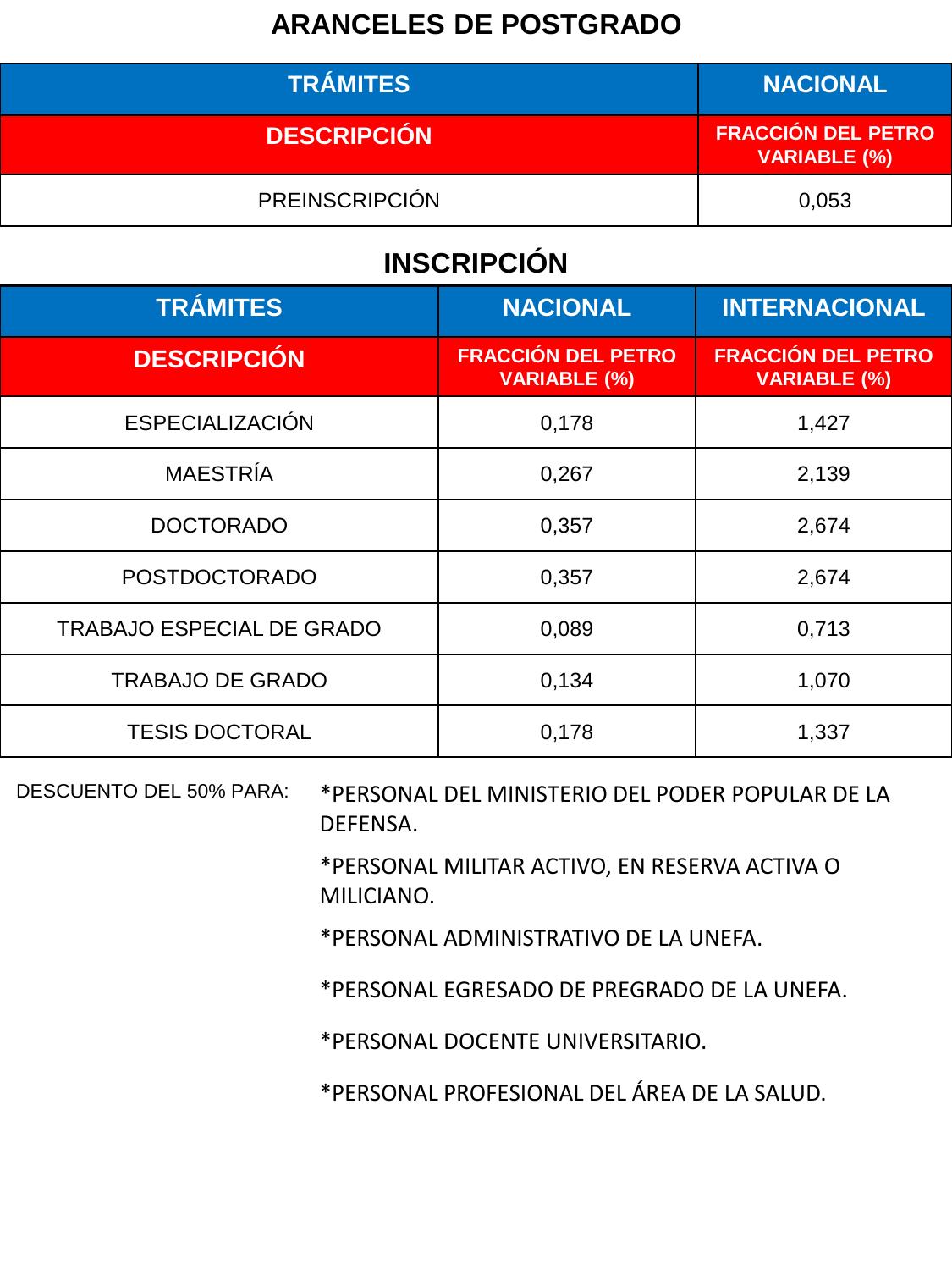#### **ARANCELES DE POSTGRADO**

| <b>TRÁMITES</b>       | <b>NACIONAL</b>                                  |
|-----------------------|--------------------------------------------------|
| <b>DESCRIPCIÓN</b>    | <b>FRACCIÓN DEL PETRO</b><br><b>VARIABLE (%)</b> |
| <b>PREINSCRIPCIÓN</b> | 0.053                                            |

# **INSCRIPCIÓN**

| <b>TRÁMITES</b>                  | <b>NACIONAL</b>                                  | <b>INTERNACIONAL</b>                             |
|----------------------------------|--------------------------------------------------|--------------------------------------------------|
| <b>DESCRIPCIÓN</b>               | <b>FRACCIÓN DEL PETRO</b><br><b>VARIABLE (%)</b> | <b>FRACCIÓN DEL PETRO</b><br><b>VARIABLE (%)</b> |
| <b>ESPECIALIZACIÓN</b>           | 0,178                                            | 1,427                                            |
| <b>MAESTRÍA</b>                  | 0,267                                            | 2,139                                            |
| <b>DOCTORADO</b>                 | 0,357                                            | 2,674                                            |
| <b>POSTDOCTORADO</b>             | 0,357                                            | 2,674                                            |
| <b>TRABAJO ESPECIAL DE GRADO</b> | 0,089                                            | 0,713                                            |
| <b>TRABAJO DE GRADO</b>          | 0,134                                            | 1,070                                            |
| <b>TESIS DOCTORAL</b>            | 0,178                                            | 1,337                                            |

DESCUENTO DEL 50% PARA: \*PERSONAL DEL MINISTERIO DEL PODER POPULAR DE LA DEFENSA.

> \*PERSONAL MILITAR ACTIVO, EN RESERVA ACTIVA O MILICIANO.

\*PERSONAL ADMINISTRATIVO DE LA UNEFA.

\*PERSONAL EGRESADO DE PREGRADO DE LA UNEFA.

\*PERSONAL DOCENTE UNIVERSITARIO.

\*PERSONAL PROFESIONAL DEL ÁREA DE LA SALUD.